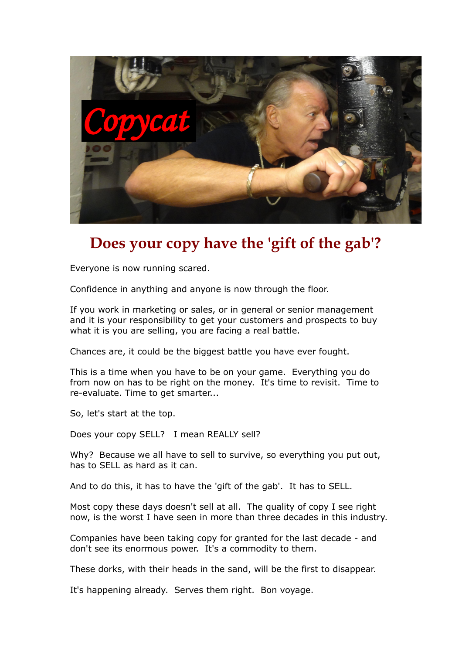

## **Does your copy have the 'gift of the gab'?**

Everyone is now running scared.

Confidence in anything and anyone is now through the floor.

If you work in marketing or sales, or in general or senior management and it is your responsibility to get your customers and prospects to buy what it is you are selling, you are facing a real battle.

Chances are, it could be the biggest battle you have ever fought.

This is a time when you have to be on your game. Everything you do from now on has to be right on the money. It's time to revisit. Time to re-evaluate. Time to get smarter...

So, let's start at the top.

Does your copy SELL? I mean REALLY sell?

Why? Because we all have to sell to survive, so everything you put out, has to SELL as hard as it can.

And to do this, it has to have the 'gift of the gab'. It has to SELL.

Most copy these days doesn't sell at all. The quality of copy I see right now, is the worst I have seen in more than three decades in this industry.

Companies have been taking copy for granted for the last decade - and don't see its enormous power. It's a commodity to them.

These dorks, with their heads in the sand, will be the first to disappear.

It's happening already. Serves them right. Bon voyage.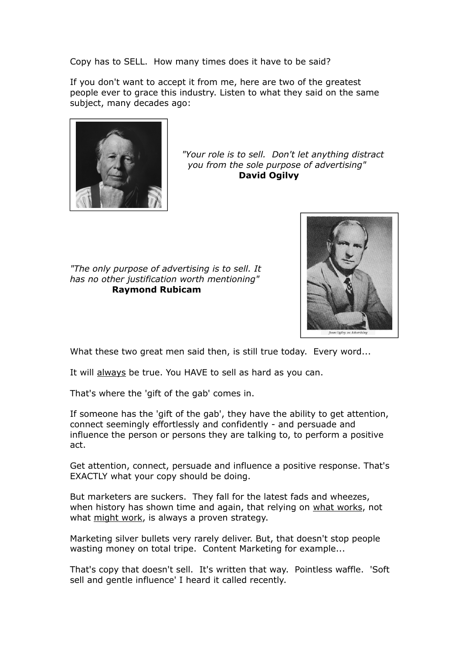Copy has to SELL. How many times does it have to be said?

If you don't want to accept it from me, here are two of the greatest people ever to grace this industry. Listen to what they said on the same subject, many decades ago:



*"Your role is to sell. Don't let anything distract you from the sole purpose of advertising"*   **David Ogilvy**

*"The only purpose of advertising is to sell. It has no other justification worth mentioning"* **Raymond Rubicam**



What these two great men said then, is still true today. Every word...

It will always be true. You HAVE to sell as hard as you can.

That's where the 'gift of the gab' comes in.

If someone has the 'gift of the gab', they have the ability to get attention, connect seemingly effortlessly and confidently - and persuade and influence the person or persons they are talking to, to perform a positive act.

Get attention, connect, persuade and influence a positive response. That's EXACTLY what your copy should be doing.

But marketers are suckers. They fall for the latest fads and wheezes, when history has shown time and again, that relying on what works, not what might work, is always a proven strategy.

Marketing silver bullets very rarely deliver. But, that doesn't stop people wasting money on total tripe. Content Marketing for example...

That's copy that doesn't sell. It's written that way. Pointless waffle. 'Soft sell and gentle influence' I heard it called recently.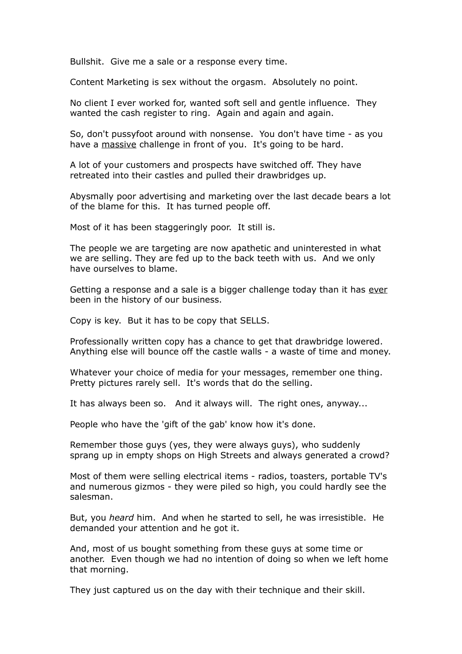Bullshit. Give me a sale or a response every time.

Content Marketing is sex without the orgasm. Absolutely no point.

No client I ever worked for, wanted soft sell and gentle influence. They wanted the cash register to ring. Again and again and again.

So, don't pussyfoot around with nonsense. You don't have time - as you have a massive challenge in front of you. It's going to be hard.

A lot of your customers and prospects have switched off. They have retreated into their castles and pulled their drawbridges up.

Abysmally poor advertising and marketing over the last decade bears a lot of the blame for this. It has turned people off.

Most of it has been staggeringly poor. It still is.

The people we are targeting are now apathetic and uninterested in what we are selling. They are fed up to the back teeth with us. And we only have ourselves to blame.

Getting a response and a sale is a bigger challenge today than it has ever been in the history of our business.

Copy is key. But it has to be copy that SELLS.

Professionally written copy has a chance to get that drawbridge lowered. Anything else will bounce off the castle walls - a waste of time and money.

Whatever your choice of media for your messages, remember one thing. Pretty pictures rarely sell. It's words that do the selling.

It has always been so. And it always will. The right ones, anyway...

People who have the 'gift of the gab' know how it's done.

Remember those guys (yes, they were always guys), who suddenly sprang up in empty shops on High Streets and always generated a crowd?

Most of them were selling electrical items - radios, toasters, portable TV's and numerous gizmos - they were piled so high, you could hardly see the salesman.

But, you *heard* him. And when he started to sell, he was irresistible. He demanded your attention and he got it.

And, most of us bought something from these guys at some time or another. Even though we had no intention of doing so when we left home that morning.

They just captured us on the day with their technique and their skill.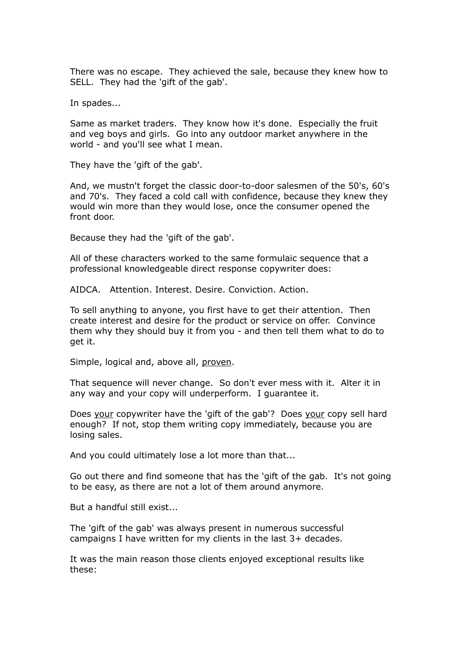There was no escape. They achieved the sale, because they knew how to SELL. They had the 'gift of the gab'.

In spades...

Same as market traders. They know how it's done. Especially the fruit and veg boys and girls. Go into any outdoor market anywhere in the world - and you'll see what I mean.

They have the 'gift of the gab'.

And, we mustn't forget the classic door-to-door salesmen of the 50's, 60's and 70's. They faced a cold call with confidence, because they knew they would win more than they would lose, once the consumer opened the front door.

Because they had the 'gift of the gab'.

All of these characters worked to the same formulaic sequence that a professional knowledgeable direct response copywriter does:

AIDCA. Attention. Interest. Desire. Conviction. Action.

To sell anything to anyone, you first have to get their attention. Then create interest and desire for the product or service on offer. Convince them why they should buy it from you - and then tell them what to do to get it.

Simple, logical and, above all, proven.

That sequence will never change. So don't ever mess with it. Alter it in any way and your copy will underperform. I guarantee it.

Does your copywriter have the 'gift of the gab'? Does your copy sell hard enough? If not, stop them writing copy immediately, because you are losing sales.

And you could ultimately lose a lot more than that...

Go out there and find someone that has the 'gift of the gab. It's not going to be easy, as there are not a lot of them around anymore.

But a handful still exist...

The 'gift of the gab' was always present in numerous successful campaigns I have written for my clients in the last 3+ decades.

It was the main reason those clients enjoyed exceptional results like these: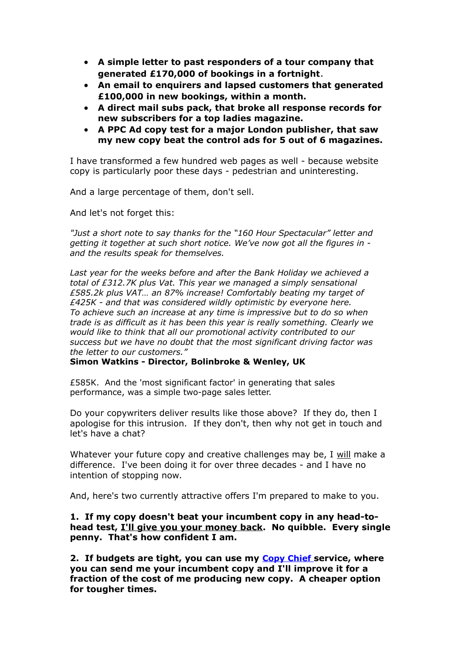- **A simple letter to past responders of a tour company that generated £170,000 of bookings in a fortnight**.
- **An email to enquirers and lapsed customers that generated £100,000 in new bookings, within a month.**
- **A direct mail subs pack, that broke all response records for new subscribers for a top ladies magazine.**
- **A PPC Ad copy test for a major London publisher, that saw my new copy beat the control ads for 5 out of 6 magazines.**

I have transformed a few hundred web pages as well - because website copy is particularly poor these days - pedestrian and uninteresting.

And a large percentage of them, don't sell.

And let's not forget this:

*"Just a short note to say thanks for the "160 Hour Spectacular" letter and getting it together at such short notice. We've now got all the figures in and the results speak for themselves.*

*Last year for the weeks before and after the Bank Holiday we achieved a total of £312.7K plus Vat. This year we managed a simply sensational £585.2k plus VAT… an 87% increase! Comfortably beating my target of £425K - and that was considered wildly optimistic by everyone here. To achieve such an increase at any time is impressive but to do so when trade is as difficult as it has been this year is really something. Clearly we would like to think that all our promotional activity contributed to our success but we have no doubt that the most significant driving factor was the letter to our customers."*

## **Simon Watkins - Director, Bolinbroke & Wenley, UK**

£585K. And the 'most significant factor' in generating that sales performance, was a simple two-page sales letter.

Do your copywriters deliver results like those above? If they do, then I apologise for this intrusion. If they don't, then why not get in touch and let's have a chat?

Whatever your future copy and creative challenges may be, I will make a difference. I've been doing it for over three decades - and I have no intention of stopping now.

And, here's two currently attractive offers I'm prepared to make to you.

**1. If my copy doesn't beat your incumbent copy in any head-tohead test, I'll give you your money back. No quibble. Every single penny. That's how confident I am.**

**2. If budgets are tight, you can use my [Copy Chief](https://www.andyowencopyandcreative.com/pdfs/Copy_Chief.pdf) service, where you can send me your incumbent copy and I'll improve it for a fraction of the cost of me producing new copy. A cheaper option for tougher times.**